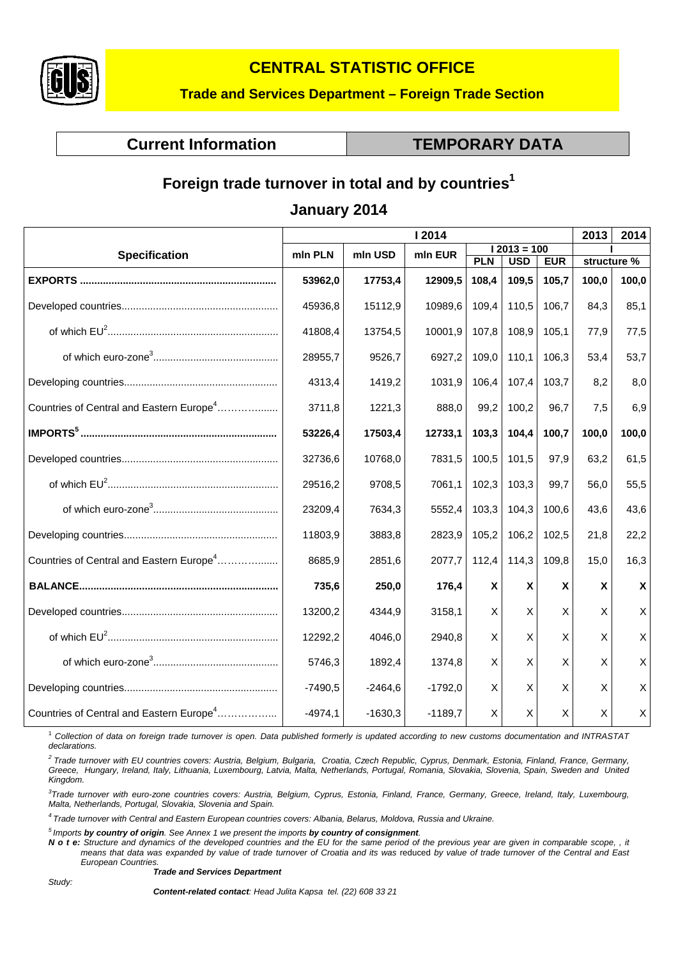

## **CENTRAL STATISTIC OFFICE**

#### **Trade and Services Department – Foreign Trade Section**

**Current Information Current Information Current Information** 

# Foreign trade turnover in total and by countries<sup>1</sup>

### **January 2014**

|                                                      | I 2014    |           |                          |            |            | 2013       | 2014  |             |
|------------------------------------------------------|-----------|-----------|--------------------------|------------|------------|------------|-------|-------------|
| <b>Specification</b>                                 | mln PLN   | mln USD   | $12013 = 100$<br>mln EUR |            |            |            |       |             |
|                                                      |           |           |                          | <b>PLN</b> | <b>USD</b> | <b>EUR</b> |       | structure % |
|                                                      | 53962,0   | 17753,4   | 12909,5                  | 108,4      | 109,5      | 105.7      | 100,0 | 100,0       |
|                                                      | 45936,8   | 15112,9   | 10989,6                  | 109,4      | 110,5      | 106.7      | 84,3  | 85,1        |
|                                                      | 41808,4   | 13754,5   | 10001,9                  | 107,8      | 108,9      | 105,1      | 77,9  | 77,5        |
|                                                      | 28955,7   | 9526,7    | 6927,2                   | 109,0      | 110,1      | 106.3      | 53,4  | 53,7        |
|                                                      | 4313,4    | 1419,2    | 1031,9                   | 106,4      | 107,4      | 103.7      | 8,2   | 8,0         |
| Countries of Central and Eastern Europe <sup>4</sup> | 3711,8    | 1221,3    | 888,0                    | 99,2       | 100,2      | 96,7       | 7,5   | 6,9         |
|                                                      | 53226.4   | 17503,4   | 12733,1                  | 103,3      | 104,4      | 100,7      | 100,0 | 100,0       |
|                                                      | 32736,6   | 10768,0   | 7831,5                   | 100,5      | 101,5      | 97,9       | 63,2  | 61,5        |
|                                                      | 29516,2   | 9708,5    | 7061,1                   | 102,3      | 103,3      | 99,7       | 56,0  | 55,5        |
|                                                      | 23209,4   | 7634,3    | 5552,4                   | 103,3      | 104,3      | 100,6      | 43,6  | 43,6        |
|                                                      | 11803,9   | 3883,8    | 2823,9                   | 105,2      | 106,2      | 102,5      | 21,8  | 22,2        |
| Countries of Central and Eastern Europe <sup>4</sup> | 8685,9    | 2851,6    | 2077,7                   | 112,4      | 114,3      | 109,8      | 15,0  | 16,3        |
|                                                      | 735,6     | 250,0     | 176,4                    | X          | X          | X          | X     | X           |
|                                                      | 13200,2   | 4344,9    | 3158,1                   | X          | X          | X          | X     | X           |
|                                                      | 12292,2   | 4046,0    | 2940,8                   | X          | X          | X          | X     | X           |
|                                                      | 5746,3    | 1892,4    | 1374,8                   | X          | X          | X          | X     | Χ           |
|                                                      | $-7490,5$ | $-2464,6$ | $-1792,0$                | X          | X          | X          | X     | X           |
| Countries of Central and Eastern Europe <sup>4</sup> | $-4974,1$ | $-1630,3$ | $-1189,7$                | X          | X          | X          | X     | X           |

1  *Collection of data on foreign trade turnover is open. Data published formerly is updated according to new customs documentation and INTRASTAT declarations.* 

*2 Trade turnover with EU countries covers: Austria, Belgium, Bulgaria, Croatia, Czech Republic, Cyprus, Denmark, Estonia, Finland, France, Germany, Greece, Hungary, Ireland, Italy, Lithuania, Luxembourg, Latvia, Malta, Netherlands, Portugal, Romania, Slovakia, Slovenia, Spain, Sweden and United Kingdom.* 

*3 Trade turnover with euro-zone countries covers: Austria, Belgium, Cyprus, Estonia, Finland, France, Germany, Greece, Ireland, Italy, Luxembourg, Malta, Netherlands, Portugal, Slovakia, Slovenia and Spain.* 

*4 Trade turnover with Central and Eastern European countries covers: Albania, Belarus, Moldova, Russia and Ukraine.* 

*5 Imports by country of origin. See Annex 1 we present the imports by country of consignment.* 

*N o t e: Structure and dynamics of the developed countries and the EU for the same period of the previous year are given in comparable scope, , it*  means that data was expanded by value of trade turnover of Croatia and its was reduced by value of trade turnover of the Central and East *European Countries.* 

*Trade and Services Department*

*Study:* 

*Content-related contact: Head Julita Kapsa tel. (22) 608 33 21*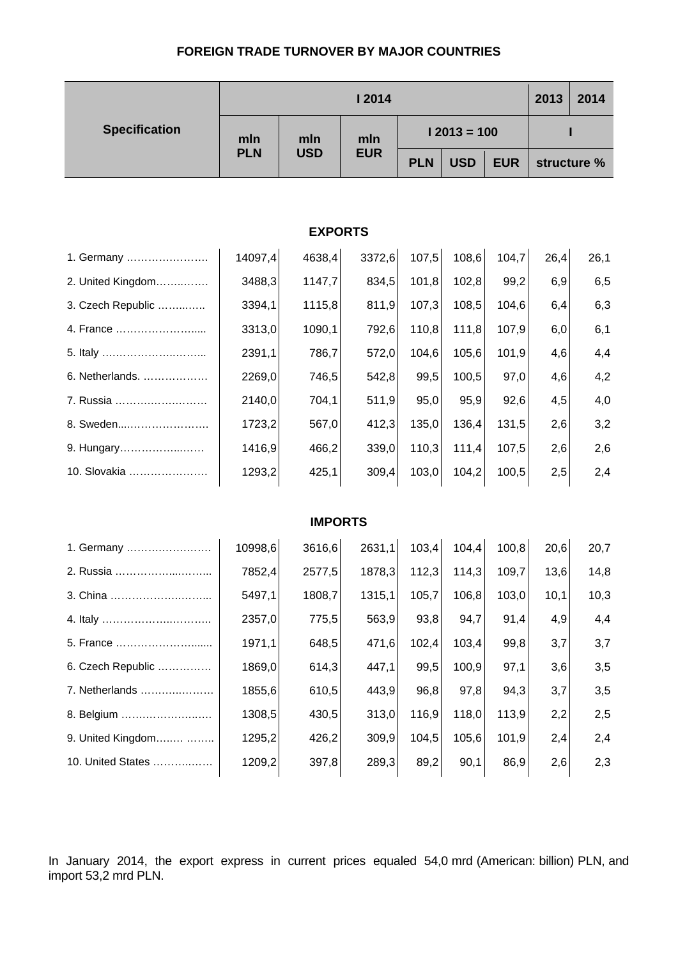#### **FOREIGN TRADE TURNOVER BY MAJOR COUNTRIES**

|                                                                | <b>12014</b> |                |            |               |             |       | 2013 | 2014 |  |
|----------------------------------------------------------------|--------------|----------------|------------|---------------|-------------|-------|------|------|--|
| <b>Specification</b><br>mln<br>mln<br><b>PLN</b><br><b>USD</b> |              |                | mln        | $12013 = 100$ |             |       |      |      |  |
|                                                                | <b>EUR</b>   | <b>PLN</b>     | <b>USD</b> | <b>EUR</b>    | structure % |       |      |      |  |
|                                                                |              |                |            |               |             |       |      |      |  |
| <b>EXPORTS</b>                                                 |              |                |            |               |             |       |      |      |  |
| 1. Germany                                                     | 14097,4      | 4638,4         | 3372,6     | 107,5         | 108,6       | 104,7 | 26,4 | 26,1 |  |
| 2. United Kingdom                                              | 3488,3       | 1147,7         | 834,5      | 101,8         | 102,8       | 99,2  | 6,9  | 6,5  |  |
| 3. Czech Republic                                              | 3394,1       | 1115,8         | 811,9      | 107,3         | 108,5       | 104,6 | 6,4  | 6,3  |  |
| 4. France                                                      | 3313,0       | 1090,1         | 792,6      | 110,8         | 111,8       | 107,9 | 6,0  | 6,1  |  |
|                                                                | 2391,1       | 786,7          | 572,0      | 104,6         | 105,6       | 101,9 | 4,6  | 4,4  |  |
| 6. Netherlands.                                                | 2269,0       | 746,5          | 542,8      | 99,5          | 100,5       | 97,0  | 4,6  | 4,2  |  |
| 7. Russia                                                      | 2140,0       | 704,1          | 511,9      | 95,0          | 95,9        | 92,6  | 4,5  | 4,0  |  |
| 8. Sweden                                                      | 1723,2       | 567,0          | 412,3      | 135,0         | 136,4       | 131,5 | 2,6  | 3,2  |  |
| 9. Hungary                                                     | 1416,9       | 466,2          | 339,0      | 110,3         | 111,4       | 107,5 | 2,6  | 2,6  |  |
| 10. Slovakia                                                   | 1293,2       | 425,1          | 309,4      | 103,0         | 104,2       | 100,5 | 2,5  | 2,4  |  |
|                                                                |              |                |            |               |             |       |      |      |  |
|                                                                |              | <b>IMPORTS</b> |            |               |             |       |      |      |  |
| 1. Germany                                                     | 10998,6      | 3616,6         | 2631,1     | 103,4         | 104,4       | 100,8 | 20,6 | 20,7 |  |
| 2. Russia                                                      | 7852,4       | 2577,5         | 1878,3     | 112,3         | 114,3       | 109,7 | 13,6 | 14,8 |  |
| 3. China                                                       | 5497,1       | 1808,7         | 1315,1     | 105,7         | 106,8       | 103,0 | 10,1 | 10,3 |  |
|                                                                | 2357,0       | 775,5          | 563,9      | 93,8          | 94,7        | 91,4  | 4,9  | 4,4  |  |
| 5. France                                                      | 1971,1       | 648,5          | 471,6      | 102,4         | 103,4       | 99,8  | 3,7  | 3,7  |  |
| 6. Czech Republic                                              | 1869,0       | 614,3          | 447,1      | 99,5          | 100,9       | 97,1  | 3,6  | 3,5  |  |
| 7. Netherlands                                                 | 1855,6       | 610,5          | 443,9      | 96,8          | 97,8        | 94,3  | 3,7  | 3,5  |  |
| 8. Belgium                                                     | 1308,5       | 430,5          | 313,0      | 116,9         | 118,0       | 113,9 | 2,2  | 2,5  |  |
| 9. United Kingdom                                              | 1295,2       | 426,2          | 309,9      | 104,5         | 105,6       | 101,9 | 2,4  | 2,4  |  |
| 10. United States                                              | 1209,2       | 397,8          | 289,3      | 89,2          | 90,1        | 86,9  | 2,6  | 2,3  |  |

In January 2014, the export express in current prices equaled 54,0 mrd (American: billion) PLN, and import 53,2 mrd PLN.